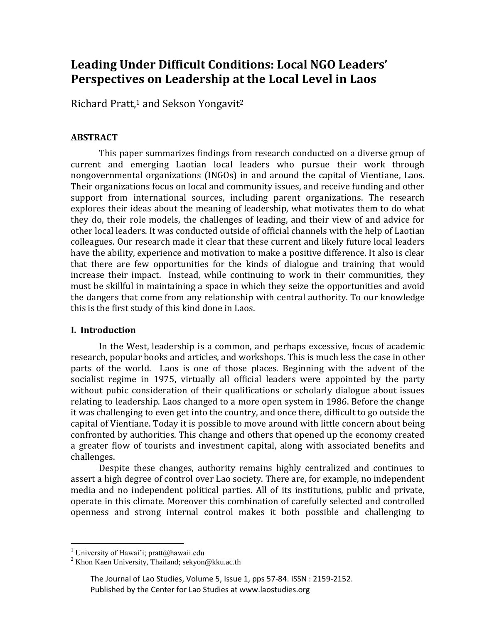# **Leading Under Difficult Conditions: Local NGO Leaders' Perspectives on Leadership at the Local Level in Laos**

Richard Pratt,<sup>1</sup> and Sekson Yongavit<sup>2</sup>

## **ABSTRACT**

This paper summarizes findings from research conducted on a diverse group of current and emerging Laotian local leaders who pursue their work through nongovernmental organizations (INGOs) in and around the capital of Vientiane, Laos. Their organizations focus on local and community issues, and receive funding and other support from international sources, including parent organizations. The research explores their ideas about the meaning of leadership, what motivates them to do what they do, their role models, the challenges of leading, and their view of and advice for other local leaders. It was conducted outside of official channels with the help of Laotian colleagues. Our research made it clear that these current and likely future local leaders have the ability, experience and motivation to make a positive difference. It also is clear that there are few opportunities for the kinds of dialogue and training that would increase their impact. Instead, while continuing to work in their communities, they must be skillful in maintaining a space in which they seize the opportunities and avoid the dangers that come from any relationship with central authority. To our knowledge this is the first study of this kind done in Laos.

## **I. Introduction**

In the West, leadership is a common, and perhaps excessive, focus of academic research, popular books and articles, and workshops. This is much less the case in other parts of the world. Laos is one of those places. Beginning with the advent of the socialist regime in 1975, virtually all official leaders were appointed by the party without pubic consideration of their qualifications or scholarly dialogue about issues relating to leadership. Laos changed to a more open system in 1986. Before the change it was challenging to even get into the country, and once there, difficult to go outside the capital of Vientiane. Today it is possible to move around with little concern about being confronted by authorities. This change and others that opened up the economy created a greater flow of tourists and investment capital, along with associated benefits and challenges.

Despite these changes, authority remains highly centralized and continues to assert a high degree of control over Lao society. There are, for example, no independent media and no independent political parties. All of its institutions, public and private, operate in this climate. Moreover this combination of carefully selected and controlled openness and strong internal control makes it both possible and challenging to

 $\overline{a}$ 

<sup>&</sup>lt;sup>1</sup> University of Hawai'i; pratt@hawaii.edu

<sup>&</sup>lt;sup>2</sup> Khon Kaen University, Thailand; sekyon@kku.ac.th

The Journal of Lao Studies, Volume 5, Issue 1, pps 57-84. ISSN : 2159-2152. Published by the Center for Lao Studies at www.laostudies.org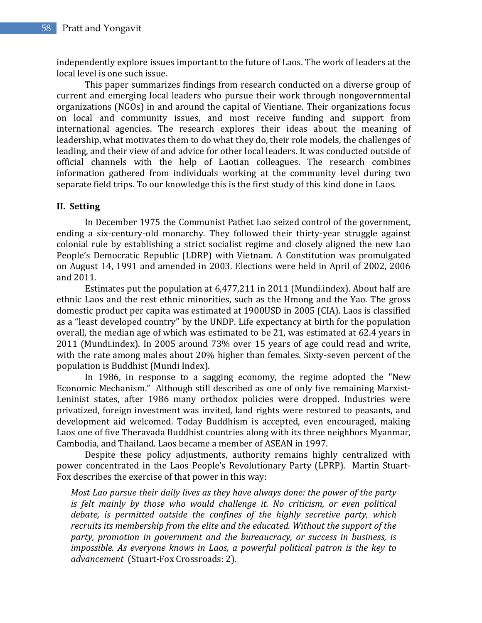independently explore issues important to the future of Laos. The work of leaders at the local level is one such issue.

This paper summarizes findings from research conducted on a diverse group of current and emerging local leaders who pursue their work through nongovernmental organizations (NGOs) in and around the capital of Vientiane. Their organizations focus on local and community issues, and most receive funding and support from international agencies. The research explores their ideas about the meaning of leadership, what motivates them to do what they do, their role models, the challenges of leading, and their view of and advice for other local leaders. It was conducted outside of official channels with the help of Laotian colleagues. The research combines information gathered from individuals working at the community level during two separate field trips. To our knowledge this is the first study of this kind done in Laos.

## **II. Setting**

In December 1975 the Communist Pathet Lao seized control of the government, ending a six-century-old monarchy. They followed their thirty-year struggle against colonial rule by establishing a strict socialist regime and closely aligned the new Lao People's Democratic Republic (LDRP) with Vietnam. A Constitution was promulgated on August 14, 1991 and amended in 2003. Elections were held in April of 2002, 2006 and 2011.

Estimates put the population at 6,477,211 in 2011 (Mundi.index). About half are ethnic Laos and the rest ethnic minorities, such as the Hmong and the Yao. The gross domestic product per capita was estimated at 1900USD in 2005 (CIA). Laos is classified as a "least developed country" by the UNDP. Life expectancy at birth for the population overall, the median age of which was estimated to be 21, was estimated at 62.4 years in 2011 (Mundi.index). In 2005 around 73% over 15 years of age could read and write, with the rate among males about 20% higher than females. Sixty-seven percent of the population is Buddhist (Mundi Index).

In 1986, in response to a sagging economy, the regime adopted the "New Economic Mechanism." Although still described as one of only five remaining Marxist-Leninist states, after 1986 many orthodox policies were dropped. Industries were privatized, foreign investment was invited, land rights were restored to peasants, and development aid welcomed. Today Buddhism is accepted, even encouraged, making Laos one of five Theravada Buddhist countries along with its three neighbors Myanmar, Cambodia, and Thailand. Laos became a member of ASEAN in 1997.

Despite these policy adjustments, authority remains highly centralized with power concentrated in the Laos People's Revolutionary Party (LPRP). Martin Stuart-Fox describes the exercise of that power in this way:

*Most Lao pursue their daily lives as they have always done: the power of the party is felt mainly by those who would challenge it. No criticism, or even political debate, is permitted outside the confines of the highly secretive party, which recruits its membership from the elite and the educated. Without the support of the party, promotion in government and the bureaucracy, or success in business, is impossible. As everyone knows in Laos, a powerful political patron is the key to advancement* (Stuart-Fox Crossroads: 2).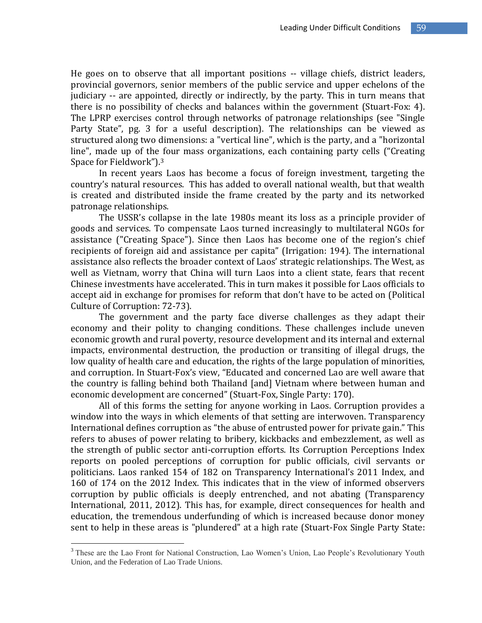He goes on to observe that all important positions -- village chiefs, district leaders, provincial governors, senior members of the public service and upper echelons of the judiciary -- are appointed, directly or indirectly, by the party. This in turn means that there is no possibility of checks and balances within the government (Stuart-Fox: 4). The LPRP exercises control through networks of patronage relationships (see "Single Party State", pg. 3 for a useful description). The relationships can be viewed as structured along two dimensions: a "vertical line", which is the party, and a "horizontal line", made up of the four mass organizations, each containing party cells ("Creating Space for Fieldwork").<sup>3</sup>

In recent years Laos has become a focus of foreign investment, targeting the country's natural resources. This has added to overall national wealth, but that wealth is created and distributed inside the frame created by the party and its networked patronage relationships.

The USSR's collapse in the late 1980s meant its loss as a principle provider of goods and services. To compensate Laos turned increasingly to multilateral NGOs for assistance ("Creating Space"). Since then Laos has become one of the region's chief recipients of foreign aid and assistance per capita" (Irrigation: 194). The international assistance also reflects the broader context of Laos' strategic relationships. The West, as well as Vietnam, worry that China will turn Laos into a client state, fears that recent Chinese investments have accelerated. This in turn makes it possible for Laos officials to accept aid in exchange for promises for reform that don't have to be acted on (Political Culture of Corruption: 72-73).

The government and the party face diverse challenges as they adapt their economy and their polity to changing conditions. These challenges include uneven economic growth and rural poverty, resource development and its internal and external impacts, environmental destruction, the production or transiting of illegal drugs, the low quality of health care and education, the rights of the large population of minorities, and corruption. In Stuart-Fox's view, "Educated and concerned Lao are well aware that the country is falling behind both Thailand [and] Vietnam where between human and economic development are concerned" (Stuart-Fox, Single Party: 170).

All of this forms the setting for anyone working in Laos. Corruption provides a window into the ways in which elements of that setting are interwoven. Transparency International defines corruption as "the abuse of entrusted power for private gain." This refers to abuses of power relating to bribery, kickbacks and embezzlement, as well as the strength of public sector anti-corruption efforts. Its Corruption Perceptions Index reports on pooled perceptions of corruption for public officials, civil servants or politicians. Laos ranked 154 of 182 on Transparency International's 2011 Index, and 160 of 174 on the 2012 Index. This indicates that in the view of informed observers corruption by public officials is deeply entrenched, and not abating (Transparency International, 2011, 2012). This has, for example, direct consequences for health and education, the tremendous underfunding of which is increased because donor money sent to help in these areas is "plundered" at a high rate (Stuart-Fox Single Party State:

 $\overline{a}$ 

<sup>&</sup>lt;sup>3</sup> These are the Lao Front for National Construction, Lao Women's Union, Lao People's Revolutionary Youth Union, and the Federation of Lao Trade Unions.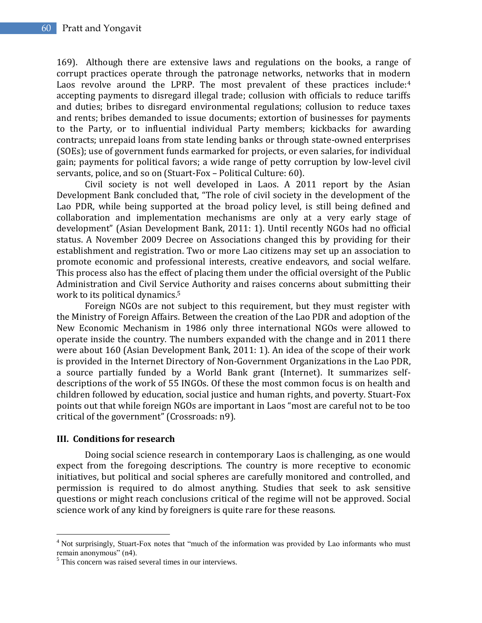169). Although there are extensive laws and regulations on the books, a range of corrupt practices operate through the patronage networks, networks that in modern Laos revolve around the LPRP. The most prevalent of these practices include: $4$ accepting payments to disregard illegal trade; collusion with officials to reduce tariffs and duties; bribes to disregard environmental regulations; collusion to reduce taxes and rents; bribes demanded to issue documents; extortion of businesses for payments to the Party, or to influential individual Party members; kickbacks for awarding contracts; unrepaid loans from state lending banks or through state-owned enterprises (SOEs); use of government funds earmarked for projects, or even salaries, for individual gain; payments for political favors; a wide range of petty corruption by low-level civil servants, police, and so on (Stuart-Fox – Political Culture: 60).

Civil society is not well developed in Laos. A 2011 report by the Asian Development Bank concluded that, "The role of civil society in the development of the Lao PDR, while being supported at the broad policy level, is still being defined and collaboration and implementation mechanisms are only at a very early stage of development" (Asian Development Bank, 2011: 1). Until recently NGOs had no official status. A November 2009 Decree on Associations changed this by providing for their establishment and registration. Two or more Lao citizens may set up an association to promote economic and professional interests, creative endeavors, and social welfare. This process also has the effect of placing them under the official oversight of the Public Administration and Civil Service Authority and raises concerns about submitting their work to its political dynamics.<sup>5</sup>

Foreign NGOs are not subject to this requirement, but they must register with the Ministry of Foreign Affairs. Between the creation of the Lao PDR and adoption of the New Economic Mechanism in 1986 only three international NGOs were allowed to operate inside the country. The numbers expanded with the change and in 2011 there were about 160 (Asian Development Bank, 2011: 1). An idea of the scope of their work is provided in the Internet Directory of Non-Government Organizations in the Lao PDR, a source partially funded by a World Bank grant (Internet). It summarizes selfdescriptions of the work of 55 INGOs. Of these the most common focus is on health and children followed by education, social justice and human rights, and poverty. Stuart-Fox points out that while foreign NGOs are important in Laos "most are careful not to be too critical of the government" (Crossroads: n9).

#### **III. Conditions for research**

 $\overline{a}$ 

Doing social science research in contemporary Laos is challenging, as one would expect from the foregoing descriptions. The country is more receptive to economic initiatives, but political and social spheres are carefully monitored and controlled, and permission is required to do almost anything. Studies that seek to ask sensitive questions or might reach conclusions critical of the regime will not be approved. Social science work of any kind by foreigners is quite rare for these reasons.

<sup>&</sup>lt;sup>4</sup> Not surprisingly, Stuart-Fox notes that "much of the information was provided by Lao informants who must remain anonymous" (n4).

<sup>&</sup>lt;sup>5</sup> This concern was raised several times in our interviews.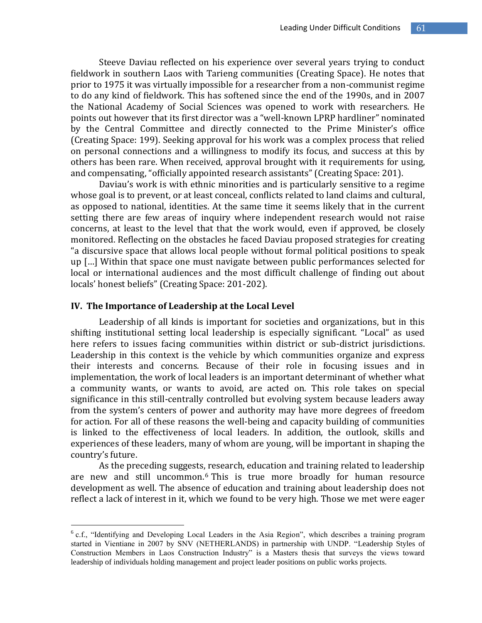Steeve Daviau reflected on his experience over several years trying to conduct fieldwork in southern Laos with Tarieng communities (Creating Space). He notes that prior to 1975 it was virtually impossible for a researcher from a non-communist regime to do any kind of fieldwork. This has softened since the end of the 1990s, and in 2007 the National Academy of Social Sciences was opened to work with researchers. He points out however that its first director was a "well-known LPRP hardliner" nominated by the Central Committee and directly connected to the Prime Minister's office (Creating Space: 199). Seeking approval for his work was a complex process that relied on personal connections and a willingness to modify its focus, and success at this by others has been rare. When received, approval brought with it requirements for using, and compensating, "officially appointed research assistants" (Creating Space: 201).

Daviau's work is with ethnic minorities and is particularly sensitive to a regime whose goal is to prevent, or at least conceal, conflicts related to land claims and cultural, as opposed to national, identities. At the same time it seems likely that in the current setting there are few areas of inquiry where independent research would not raise concerns, at least to the level that that the work would, even if approved, be closely monitored. Reflecting on the obstacles he faced Daviau proposed strategies for creating "a discursive space that allows local people without formal political positions to speak up […] Within that space one must navigate between public performances selected for local or international audiences and the most difficult challenge of finding out about locals' honest beliefs" (Creating Space: 201-202).

#### **IV. The Importance of Leadership at the Local Level**

 $\overline{a}$ 

Leadership of all kinds is important for societies and organizations, but in this shifting institutional setting local leadership is especially significant. "Local" as used here refers to issues facing communities within district or sub-district jurisdictions. Leadership in this context is the vehicle by which communities organize and express their interests and concerns. Because of their role in focusing issues and in implementation, the work of local leaders is an important determinant of whether what a community wants, or wants to avoid, are acted on. This role takes on special significance in this still-centrally controlled but evolving system because leaders away from the system's centers of power and authority may have more degrees of freedom for action. For all of these reasons the well-being and capacity building of communities is linked to the effectiveness of local leaders. In addition, the outlook, skills and experiences of these leaders, many of whom are young, will be important in shaping the country's future.

As the preceding suggests, research, education and training related to leadership are new and still uncommon.<sup>6</sup> This is true more broadly for human resource development as well. The absence of education and training about leadership does not reflect a lack of interest in it, which we found to be very high. Those we met were eager

<sup>&</sup>lt;sup>6</sup> c.f., "Identifying and Developing Local Leaders in the Asia Region", which describes a training program started in Vientiane in 2007 by SNV (NETHERLANDS) in partnership with UNDP. "Leadership Styles of Construction Members in Laos Construction Industry" is a Masters thesis that surveys the views toward leadership of individuals holding management and project leader positions on public works projects.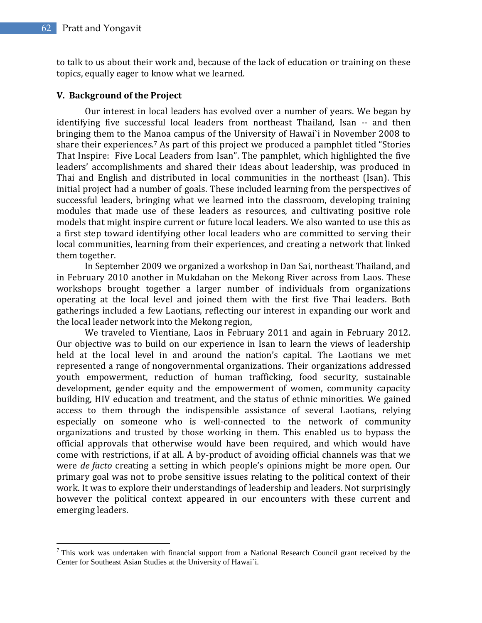$\overline{a}$ 

to talk to us about their work and, because of the lack of education or training on these topics, equally eager to know what we learned.

## **V. Background of the Project**

Our interest in local leaders has evolved over a number of years. We began by identifying five successful local leaders from northeast Thailand, Isan -- and then bringing them to the Manoa campus of the University of Hawai`i in November 2008 to share their experiences.<sup>7</sup> As part of this project we produced a pamphlet titled "Stories That Inspire: Five Local Leaders from Isan". The pamphlet, which highlighted the five leaders' accomplishments and shared their ideas about leadership, was produced in Thai and English and distributed in local communities in the northeast (Isan). This initial project had a number of goals. These included learning from the perspectives of successful leaders, bringing what we learned into the classroom, developing training modules that made use of these leaders as resources, and cultivating positive role models that might inspire current or future local leaders. We also wanted to use this as a first step toward identifying other local leaders who are committed to serving their local communities, learning from their experiences, and creating a network that linked them together.

In September 2009 we organized a workshop in Dan Sai, northeast Thailand, and in February 2010 another in Mukdahan on the Mekong River across from Laos. These workshops brought together a larger number of individuals from organizations operating at the local level and joined them with the first five Thai leaders. Both gatherings included a few Laotians, reflecting our interest in expanding our work and the local leader network into the Mekong region,

We traveled to Vientiane, Laos in February 2011 and again in February 2012. Our objective was to build on our experience in Isan to learn the views of leadership held at the local level in and around the nation's capital. The Laotians we met represented a range of nongovernmental organizations. Their organizations addressed youth empowerment, reduction of human trafficking, food security, sustainable development, gender equity and the empowerment of women, community capacity building, HIV education and treatment, and the status of ethnic minorities. We gained access to them through the indispensible assistance of several Laotians, relying especially on someone who is well-connected to the network of community organizations and trusted by those working in them. This enabled us to bypass the official approvals that otherwise would have been required, and which would have come with restrictions, if at all. A by-product of avoiding official channels was that we were *de facto* creating a setting in which people's opinions might be more open. Our primary goal was not to probe sensitive issues relating to the political context of their work. It was to explore their understandings of leadership and leaders. Not surprisingly however the political context appeared in our encounters with these current and emerging leaders.

 $7$  This work was undertaken with financial support from a National Research Council grant received by the Center for Southeast Asian Studies at the University of Hawai`i.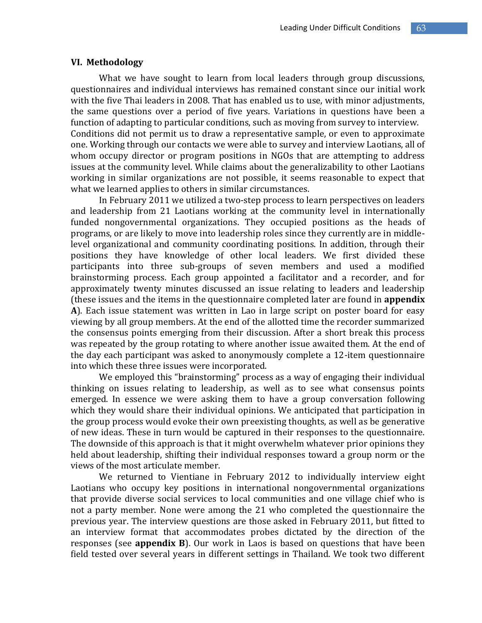#### **VI. Methodology**

What we have sought to learn from local leaders through group discussions, questionnaires and individual interviews has remained constant since our initial work with the five Thai leaders in 2008. That has enabled us to use, with minor adjustments, the same questions over a period of five years. Variations in questions have been a function of adapting to particular conditions, such as moving from survey to interview. Conditions did not permit us to draw a representative sample, or even to approximate one. Working through our contacts we were able to survey and interview Laotians, all of whom occupy director or program positions in NGOs that are attempting to address issues at the community level. While claims about the generalizability to other Laotians working in similar organizations are not possible, it seems reasonable to expect that what we learned applies to others in similar circumstances.

In February 2011 we utilized a two-step process to learn perspectives on leaders and leadership from 21 Laotians working at the community level in internationally funded nongovernmental organizations. They occupied positions as the heads of programs, or are likely to move into leadership roles since they currently are in middlelevel organizational and community coordinating positions. In addition, through their positions they have knowledge of other local leaders. We first divided these participants into three sub-groups of seven members and used a modified brainstorming process. Each group appointed a facilitator and a recorder, and for approximately twenty minutes discussed an issue relating to leaders and leadership (these issues and the items in the questionnaire completed later are found in **appendix A**). Each issue statement was written in Lao in large script on poster board for easy viewing by all group members. At the end of the allotted time the recorder summarized the consensus points emerging from their discussion. After a short break this process was repeated by the group rotating to where another issue awaited them. At the end of the day each participant was asked to anonymously complete a 12-item questionnaire into which these three issues were incorporated.

We employed this "brainstorming" process as a way of engaging their individual thinking on issues relating to leadership, as well as to see what consensus points emerged. In essence we were asking them to have a group conversation following which they would share their individual opinions. We anticipated that participation in the group process would evoke their own preexisting thoughts, as well as be generative of new ideas. These in turn would be captured in their responses to the questionnaire. The downside of this approach is that it might overwhelm whatever prior opinions they held about leadership, shifting their individual responses toward a group norm or the views of the most articulate member.

We returned to Vientiane in February 2012 to individually interview eight Laotians who occupy key positions in international nongovernmental organizations that provide diverse social services to local communities and one village chief who is not a party member. None were among the 21 who completed the questionnaire the previous year. The interview questions are those asked in February 2011, but fitted to an interview format that accommodates probes dictated by the direction of the responses (see **appendix B**). Our work in Laos is based on questions that have been field tested over several years in different settings in Thailand. We took two different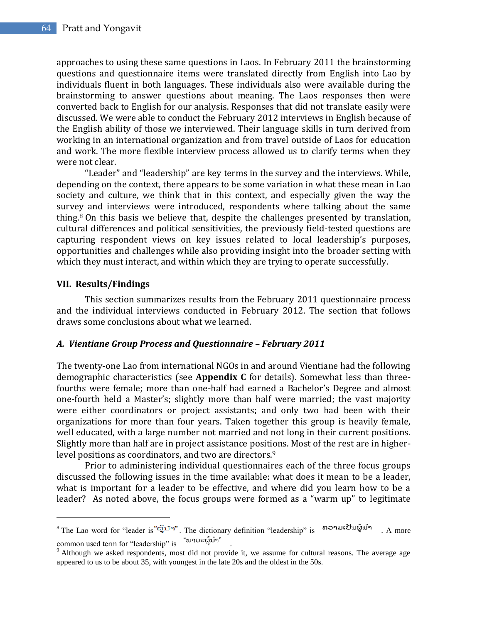approaches to using these same questions in Laos. In February 2011 the brainstorming questions and questionnaire items were translated directly from English into Lao by individuals fluent in both languages. These individuals also were available during the brainstorming to answer questions about meaning. The Laos responses then were converted back to English for our analysis. Responses that did not translate easily were discussed. We were able to conduct the February 2012 interviews in English because of the English ability of those we interviewed. Their language skills in turn derived from working in an international organization and from travel outside of Laos for education and work. The more flexible interview process allowed us to clarify terms when they were not clear.

"Leader" and "leadership" are key terms in the survey and the interviews. While, depending on the context, there appears to be some variation in what these mean in Lao society and culture, we think that in this context, and especially given the way the survey and interviews were introduced, respondents where talking about the same thing.<sup>8</sup> On this basis we believe that, despite the challenges presented by translation, cultural differences and political sensitivities, the previously field-tested questions are capturing respondent views on key issues related to local leadership's purposes, opportunities and challenges while also providing insight into the broader setting with which they must interact, and within which they are trying to operate successfully.

## **VII. Results/Findings**

 $\overline{a}$ 

This section summarizes results from the February 2011 questionnaire process and the individual interviews conducted in February 2012. The section that follows draws some conclusions about what we learned.

## *A. Vientiane Group Process and Questionnaire – February 2011*

The twenty-one Lao from international NGOs in and around Vientiane had the following demographic characteristics (see **Appendix C** for details). Somewhat less than threefourths were female; more than one-half had earned a Bachelor's Degree and almost one-fourth held a Master's; slightly more than half were married; the vast majority were either coordinators or project assistants; and only two had been with their organizations for more than four years. Taken together this group is heavily female, well educated, with a large number not married and not long in their current positions. Slightly more than half are in project assistance positions. Most of the rest are in higherlevel positions as coordinators, and two are directors.<sup>9</sup>

Prior to administering individual questionnaires each of the three focus groups discussed the following issues in the time available: what does it mean to be a leader, what is important for a leader to be effective, and where did you learn how to be a leader? As noted above, the focus groups were formed as a "warm up" to legitimate

 $8$  The Lao word for "leader is "ผู้บำ". The dictionary definition "leadership" is ถือจบเป็นผู้บำ A more common used term for "leadership" is  $\omega$ 

 $9$  Although we asked respondents, most did not provide it, we assume for cultural reasons. The average age appeared to us to be about 35, with youngest in the late 20s and the oldest in the 50s.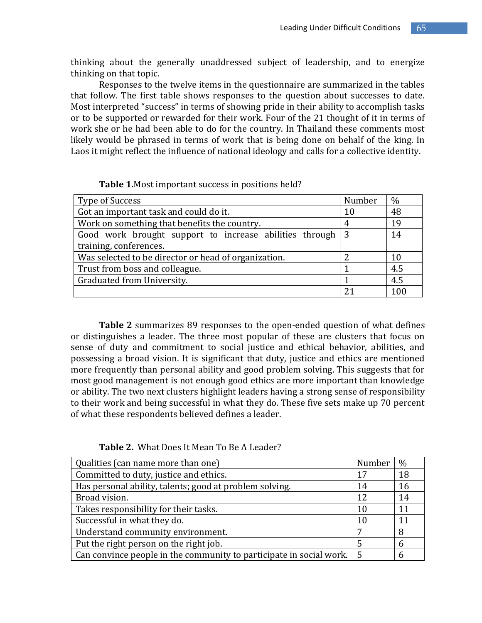thinking about the generally unaddressed subject of leadership, and to energize thinking on that topic.

Responses to the twelve items in the questionnaire are summarized in the tables that follow. The first table shows responses to the question about successes to date. Most interpreted "success" in terms of showing pride in their ability to accomplish tasks or to be supported or rewarded for their work. Four of the 21 thought of it in terms of work she or he had been able to do for the country. In Thailand these comments most likely would be phrased in terms of work that is being done on behalf of the king. In Laos it might reflect the influence of national ideology and calls for a collective identity.

| Type of Success                                         | Number | $\%$ |
|---------------------------------------------------------|--------|------|
| Got an important task and could do it.                  | 10     | 48   |
| Work on something that benefits the country.            | 4      | 19   |
| Good work brought support to increase abilities through | -3     | 14   |
| training, conferences.                                  |        |      |
| Was selected to be director or head of organization.    |        | 10   |
| Trust from boss and colleague.                          |        | 4.5  |
| Graduated from University.                              |        | 4.5  |
|                                                         |        | 100  |

**Table 1.**Most important success in positions held?

**Table 2** summarizes 89 responses to the open-ended question of what defines or distinguishes a leader. The three most popular of these are clusters that focus on sense of duty and commitment to social justice and ethical behavior, abilities, and possessing a broad vision. It is significant that duty, justice and ethics are mentioned more frequently than personal ability and good problem solving. This suggests that for most good management is not enough good ethics are more important than knowledge or ability. The two next clusters highlight leaders having a strong sense of responsibility to their work and being successful in what they do. These five sets make up 70 percent of what these respondents believed defines a leader.

| Qualities (can name more than one)                                                    | Number | $\%$ |
|---------------------------------------------------------------------------------------|--------|------|
| Committed to duty, justice and ethics.                                                | 17     | 18   |
| Has personal ability, talents; good at problem solving.                               | 14     | 16   |
| Broad vision.                                                                         | 12     | 14   |
| Takes responsibility for their tasks.                                                 | 10     | 11   |
| Successful in what they do.                                                           | 10     | 11   |
| Understand community environment.                                                     |        | 8    |
| Put the right person on the right job.                                                |        | 6    |
| Can convince people in the community to participate in social work. $\vert 5 \rangle$ |        | 6    |

**Table 2.** What Does It Mean To Be A Leader?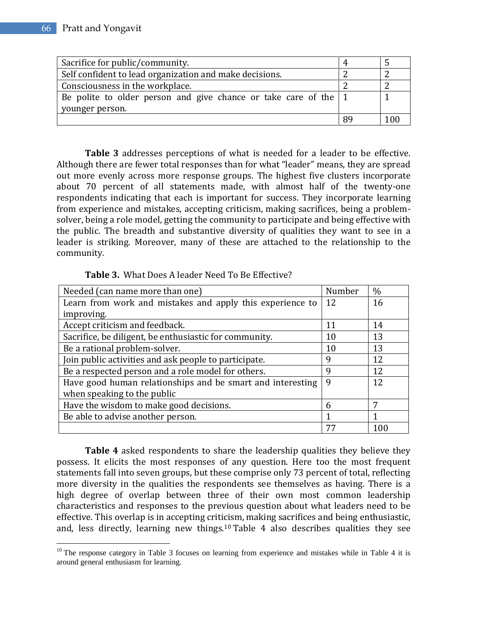$\overline{a}$ 

| Sacrifice for public/community.                                         |  |
|-------------------------------------------------------------------------|--|
| Self confident to lead organization and make decisions.                 |  |
| Consciousness in the workplace.                                         |  |
| Be polite to older person and give chance or take care of the $\vert$ 1 |  |
| younger person.                                                         |  |
|                                                                         |  |

**Table 3** addresses perceptions of what is needed for a leader to be effective. Although there are fewer total responses than for what "leader" means, they are spread out more evenly across more response groups. The highest five clusters incorporate about 70 percent of all statements made, with almost half of the twenty-one respondents indicating that each is important for success. They incorporate learning from experience and mistakes, accepting criticism, making sacrifices, being a problemsolver, being a role model, getting the community to participate and being effective with the public. The breadth and substantive diversity of qualities they want to see in a leader is striking. Moreover, many of these are attached to the relationship to the community.

**Table 3.** What Does A leader Need To Be Effective?

| Needed (can name more than one)                            | Number | $\frac{0}{0}$ |
|------------------------------------------------------------|--------|---------------|
| Learn from work and mistakes and apply this experience to  | 12     | 16            |
| improving.                                                 |        |               |
| Accept criticism and feedback.                             | 11     | 14            |
| Sacrifice, be diligent, be enthusiastic for community.     | 10     | 13            |
| Be a rational problem-solver.                              | 10     | 13            |
| Join public activities and ask people to participate.      | 9      | 12            |
| Be a respected person and a role model for others.         | 9      | 12            |
| Have good human relationships and be smart and interesting | 9      | 12            |
| when speaking to the public                                |        |               |
| Have the wisdom to make good decisions.                    | 6      | 7             |
| Be able to advise another person.                          |        |               |
|                                                            | 77     | 100           |

**Table 4** asked respondents to share the leadership qualities they believe they possess. It elicits the most responses of any question. Here too the most frequent statements fall into seven groups, but these comprise only 73 percent of total, reflecting more diversity in the qualities the respondents see themselves as having. There is a high degree of overlap between three of their own most common leadership characteristics and responses to the previous question about what leaders need to be effective. This overlap is in accepting criticism, making sacrifices and being enthusiastic, and, less directly, learning new things.<sup>10</sup> Table 4 also describes qualities they see

 $10$  The response category in Table 3 focuses on learning from experience and mistakes while in Table 4 it is around general enthusiasm for learning.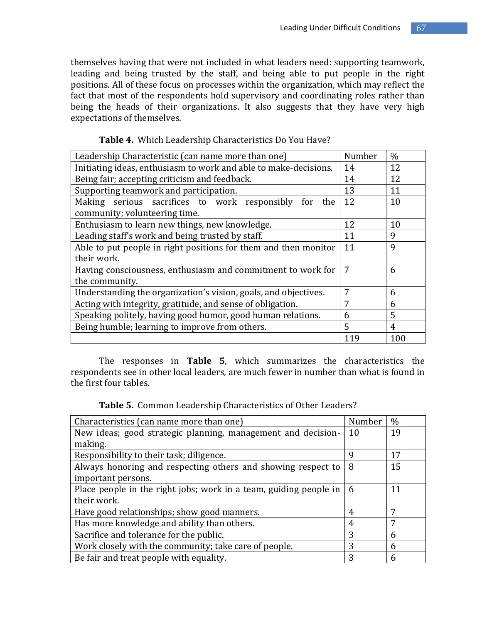themselves having that were not included in what leaders need: supporting teamwork, leading and being trusted by the staff, and being able to put people in the right positions. All of these focus on processes within the organization, which may reflect the fact that most of the respondents hold supervisory and coordinating roles rather than being the heads of their organizations. It also suggests that they have very high expectations of themselves.

| Leadership Characteristic (can name more than one)               |     | $\frac{0}{0}$ |
|------------------------------------------------------------------|-----|---------------|
| Initiating ideas, enthusiasm to work and able to make-decisions. |     | 12            |
| Being fair; accepting criticism and feedback.                    | 14  | 12            |
| Supporting teamwork and participation.                           | 13  | 11            |
| Making serious sacrifices to work responsibly<br>for<br>the      | 12  | 10            |
| community; volunteering time.                                    |     |               |
| Enthusiasm to learn new things, new knowledge.                   | 12  | 10            |
| Leading staff's work and being trusted by staff.                 |     | 9             |
| Able to put people in right positions for them and then monitor  |     | 9             |
| their work.                                                      |     |               |
| Having consciousness, enthusiasm and commitment to work for      |     | 6             |
| the community.                                                   |     |               |
| Understanding the organization's vision, goals, and objectives.  |     | 6             |
| Acting with integrity, gratitude, and sense of obligation.       |     | 6             |
| Speaking politely, having good humor, good human relations.      |     | 5             |
| Being humble; learning to improve from others.                   |     | 4             |
|                                                                  | 119 | 100           |

|  |  | Table 4. Which Leadership Characteristics Do You Have? |  |
|--|--|--------------------------------------------------------|--|
|--|--|--------------------------------------------------------|--|

The responses in **Table 5**, which summarizes the characteristics the respondents see in other local leaders, are much fewer in number than what is found in the first four tables.

**Table 5.** Common Leadership Characteristics of Other Leaders?

| Number | $\frac{0}{0}$ |
|--------|---------------|
| 10     | 19            |
|        |               |
| q      | 17            |
| 8      | 15            |
|        |               |
| 6      | 11            |
|        |               |
| 4      | 7             |
| 4      | 7             |
| 3      | 6             |
| 3      | 6             |
| 3      | 6             |
|        |               |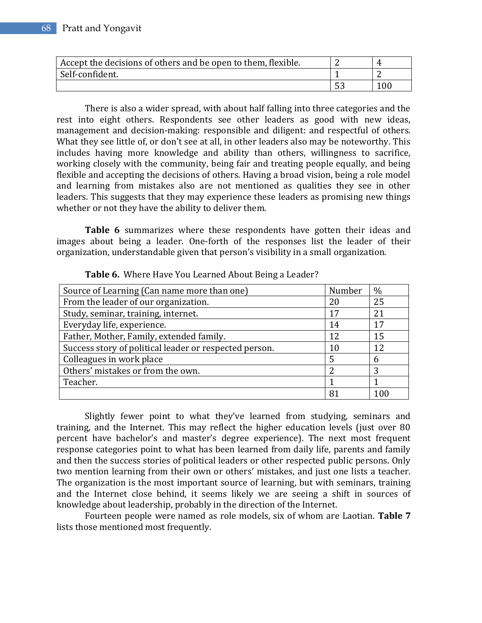| Accept the decisions of others and be open to them, flexible. |     |
|---------------------------------------------------------------|-----|
| Self-confident.                                               |     |
|                                                               | 100 |

There is also a wider spread, with about half falling into three categories and the rest into eight others. Respondents see other leaders as good with new ideas, management and decision-making: responsible and diligent: and respectful of others. What they see little of, or don't see at all, in other leaders also may be noteworthy. This includes having more knowledge and ability than others, willingness to sacrifice, working closely with the community, being fair and treating people equally, and being flexible and accepting the decisions of others. Having a broad vision, being a role model and learning from mistakes also are not mentioned as qualities they see in other leaders. This suggests that they may experience these leaders as promising new things whether or not they have the ability to deliver them.

**Table 6** summarizes where these respondents have gotten their ideas and images about being a leader. One-forth of the responses list the leader of their organization, understandable given that person's visibility in a small organization.

| Source of Learning (Can name more than one)            | Number  | $\frac{0}{0}$ |
|--------------------------------------------------------|---------|---------------|
| From the leader of our organization.                   | 20      | 25            |
| Study, seminar, training, internet.                    | 17      | 21            |
| Everyday life, experience.                             | 14      | 17            |
| Father, Mother, Family, extended family.               | $12 \,$ | 15            |
| Success story of political leader or respected person. | 10      | 12            |
| Colleagues in work place                               | 5       | 6             |
| Others' mistakes or from the own.                      | 2       | 3             |
| Teacher.                                               |         |               |
|                                                        | 8°      |               |

**Table 6.** Where Have You Learned About Being a Leader?

Slightly fewer point to what they've learned from studying, seminars and training, and the Internet. This may reflect the higher education levels (just over 80 percent have bachelor's and master's degree experience). The next most frequent response categories point to what has been learned from daily life, parents and family and then the success stories of political leaders or other respected public persons. Only two mention learning from their own or others' mistakes, and just one lists a teacher. The organization is the most important source of learning, but with seminars, training and the Internet close behind, it seems likely we are seeing a shift in sources of knowledge about leadership, probably in the direction of the Internet.

Fourteen people were named as role models, six of whom are Laotian. **Table 7** lists those mentioned most frequently.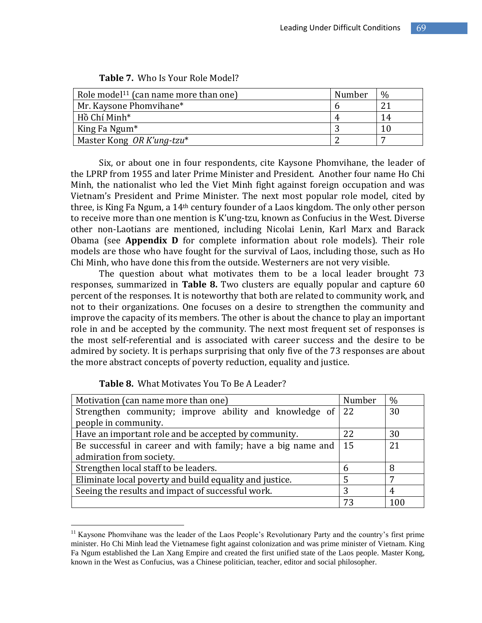| Role model <sup>11</sup> (can name more than one) | Number | $\%$ |
|---------------------------------------------------|--------|------|
| Mr. Kaysone Phomyihane*                           |        | റ    |
| Hồ Chí Minh*                                      | 4      | 14   |
| King Fa Ngum <sup>*</sup>                         |        |      |
| Master Kong OR K'ung-tzu*                         |        |      |

| <b>Table 7.</b> Who Is Your Role Model? |
|-----------------------------------------|
|-----------------------------------------|

Six, or about one in four respondents, cite Kaysone Phomvihane, the leader of the LPRP from 1955 and later Prime Minister and President. Another four name Ho Chi Minh, the nationalist who led the Viet Minh fight against foreign occupation and was Vietnam's President and Prime Minister. The next most popular role model, cited by three, is King Fa Ngum, a 14th century founder of a Laos kingdom. The only other person to receive more than one mention is K'ung-tzu, known as Confucius in the West. Diverse other non-Laotians are mentioned, including Nicolai Lenin, Karl Marx and Barack Obama (see **Appendix D** for complete information about role models). Their role models are those who have fought for the survival of Laos, including those, such as Ho Chi Minh, who have done this from the outside. Westerners are not very visible.

The question about what motivates them to be a local leader brought 73 responses, summarized in **Table 8.** Two clusters are equally popular and capture 60 percent of the responses. It is noteworthy that both are related to community work, and not to their organizations. One focuses on a desire to strengthen the community and improve the capacity of its members. The other is about the chance to play an important role in and be accepted by the community. The next most frequent set of responses is the most self-referential and is associated with career success and the desire to be admired by society. It is perhaps surprising that only five of the 73 responses are about the more abstract concepts of poverty reduction, equality and justice.

| Motivation (can name more than one)                                        |               | $\%$ |
|----------------------------------------------------------------------------|---------------|------|
| Strengthen community; improve ability and knowledge of                     | <sup>22</sup> | 30   |
| people in community.                                                       |               |      |
| Have an important role and be accepted by community.                       |               | 30   |
| $\vert$ 15<br>Be successful in career and with family; have a big name and |               | 21   |
| admiration from society.                                                   |               |      |
| Strengthen local staff to be leaders.                                      | 6             | 8    |
| Eliminate local poverty and build equality and justice.                    |               | 7    |
| Seeing the results and impact of successful work.                          |               | 4    |
|                                                                            | 73            | 100  |

**Table 8.** What Motivates You To Be A Leader?

 $\overline{a}$ 

<sup>&</sup>lt;sup>11</sup> Kaysone Phomvihane was the leader of the Laos People's Revolutionary Party and the country's first prime minister. Ho Chi Minh lead the Vietnamese fight against colonization and was prime minister of Vietnam. King Fa Ngum established the Lan Xang Empire and created the first unified state of the Laos people. Master Kong, known in the West as Confucius, was a Chinese politician, teacher, editor and social philosopher.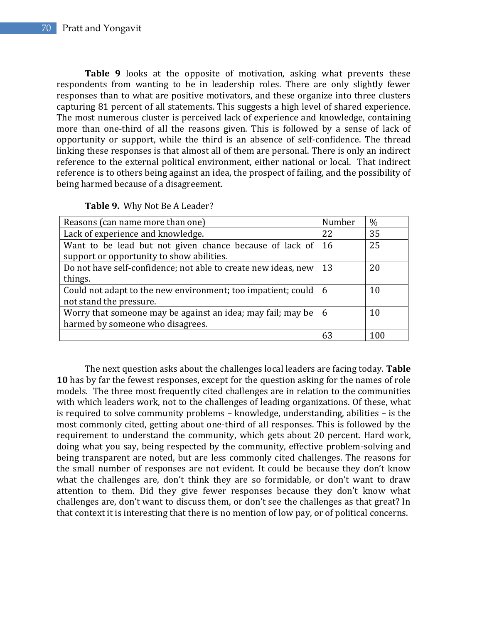Table 9 looks at the opposite of motivation, asking what prevents these respondents from wanting to be in leadership roles. There are only slightly fewer responses than to what are positive motivators, and these organize into three clusters capturing 81 percent of all statements. This suggests a high level of shared experience. The most numerous cluster is perceived lack of experience and knowledge, containing more than one-third of all the reasons given. This is followed by a sense of lack of opportunity or support, while the third is an absence of self-confidence. The thread linking these responses is that almost all of them are personal. There is only an indirect reference to the external political environment, either national or local. That indirect reference is to others being against an idea, the prospect of failing, and the possibility of being harmed because of a disagreement.

|  |  |  | Table 9. Why Not Be A Leader? |
|--|--|--|-------------------------------|
|--|--|--|-------------------------------|

| Reasons (can name more than one)                                       | Number | $\frac{0}{0}$ |
|------------------------------------------------------------------------|--------|---------------|
| Lack of experience and knowledge.                                      | 22     | 35            |
| Want to be lead but not given chance because of lack of                | 16     | 25            |
| support or opportunity to show abilities.                              |        |               |
| Do not have self-confidence; not able to create new ideas, new         | 13     | 20            |
| things.                                                                |        |               |
| Could not adapt to the new environment; too impatient; could $\vert$ 6 |        | 10            |
| not stand the pressure.                                                |        |               |
| Worry that someone may be against an idea; may fail; may be            | -6     | 10            |
| harmed by someone who disagrees.                                       |        |               |
|                                                                        | 63     | 100           |

The next question asks about the challenges local leaders are facing today. **Table 10** has by far the fewest responses, except for the question asking for the names of role models. The three most frequently cited challenges are in relation to the communities with which leaders work, not to the challenges of leading organizations. Of these, what is required to solve community problems – knowledge, understanding, abilities – is the most commonly cited, getting about one-third of all responses. This is followed by the requirement to understand the community, which gets about 20 percent. Hard work, doing what you say, being respected by the community, effective problem-solving and being transparent are noted, but are less commonly cited challenges. The reasons for the small number of responses are not evident. It could be because they don't know what the challenges are, don't think they are so formidable, or don't want to draw attention to them. Did they give fewer responses because they don't know what challenges are, don't want to discuss them, or don't see the challenges as that great? In that context it is interesting that there is no mention of low pay, or of political concerns.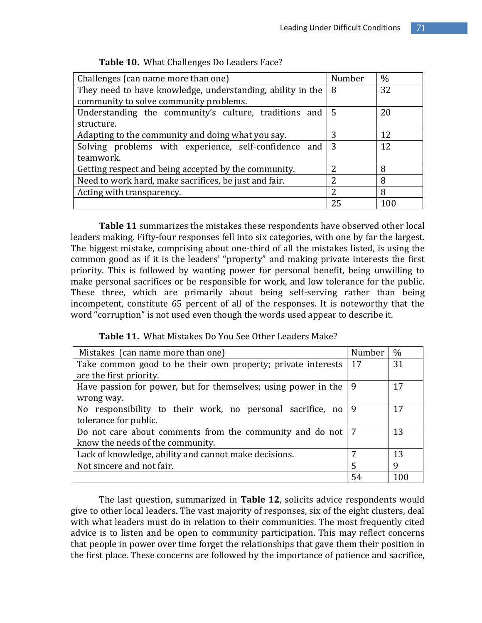| Challenges (can name more than one)                        | Number | $\%$ |
|------------------------------------------------------------|--------|------|
| They need to have knowledge, understanding, ability in the | 8      | 32   |
| community to solve community problems.                     |        |      |
| Understanding the community's culture, traditions and      | -5     | 20   |
| structure.                                                 |        |      |
| Adapting to the community and doing what you say.          | 3      | 12   |
| Solving problems with experience, self-confidence and      | 3      | 12   |
| teamwork.                                                  |        |      |
| Getting respect and being accepted by the community.       | າ      | 8    |
| Need to work hard, make sacrifices, be just and fair.      | າ      | 8    |
| Acting with transparency.                                  | 2      | 8    |
|                                                            | 25     | 100  |

**Table 11** summarizes the mistakes these respondents have observed other local leaders making. Fifty-four responses fell into six categories, with one by far the largest. The biggest mistake, comprising about one-third of all the mistakes listed, is using the common good as if it is the leaders' "property" and making private interests the first priority. This is followed by wanting power for personal benefit, being unwilling to make personal sacrifices or be responsible for work, and low tolerance for the public. These three, which are primarily about being self-serving rather than being incompetent, constitute 65 percent of all of the responses. It is noteworthy that the word "corruption" is not used even though the words used appear to describe it.

**Table 11.** What Mistakes Do You See Other Leaders Make?

| Mistakes (can name more than one)                              | Number | $\frac{0}{0}$ |
|----------------------------------------------------------------|--------|---------------|
| Take common good to be their own property; private interests   | 17     | 31            |
| are the first priority.                                        |        |               |
| Have passion for power, but for themselves; using power in the | 9      | 17            |
| wrong way.                                                     |        |               |
| No responsibility to their work, no personal sacrifice, no     | 9      | 17            |
| tolerance for public.                                          |        |               |
| Do not care about comments from the community and do not       | - 7    | 13            |
| know the needs of the community.                               |        |               |
| Lack of knowledge, ability and cannot make decisions.          | 7      | 13            |
| Not sincere and not fair.                                      | 5      | 9             |
|                                                                | 54     | 100           |

The last question, summarized in **Table 12**, solicits advice respondents would give to other local leaders. The vast majority of responses, six of the eight clusters, deal with what leaders must do in relation to their communities. The most frequently cited advice is to listen and be open to community participation. This may reflect concerns that people in power over time forget the relationships that gave them their position in the first place. These concerns are followed by the importance of patience and sacrifice,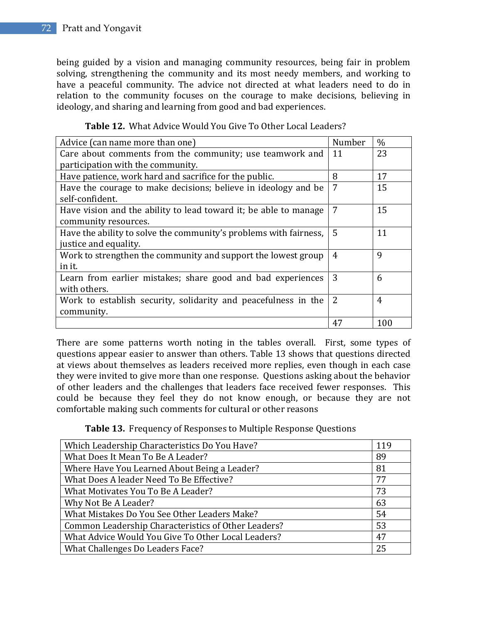being guided by a vision and managing community resources, being fair in problem solving, strengthening the community and its most needy members, and working to have a peaceful community. The advice not directed at what leaders need to do in relation to the community focuses on the courage to make decisions, believing in ideology, and sharing and learning from good and bad experiences.

| Advice (can name more than one)                                   | Number         | $\frac{0}{0}$ |
|-------------------------------------------------------------------|----------------|---------------|
| Care about comments from the community; use teamwork and          | 11             | 23            |
| participation with the community.                                 |                |               |
| Have patience, work hard and sacrifice for the public.            | 8              | 17            |
| Have the courage to make decisions; believe in ideology and be    | 7              | 15            |
| self-confident.                                                   |                |               |
| Have vision and the ability to lead toward it; be able to manage  | 7              | 15            |
| community resources.                                              |                |               |
| Have the ability to solve the community's problems with fairness, | 5              | 11            |
| justice and equality.                                             |                |               |
| Work to strengthen the community and support the lowest group     | 4              | 9             |
| in it.                                                            |                |               |
| Learn from earlier mistakes; share good and bad experiences       | 3              | 6             |
| with others.                                                      |                |               |
| Work to establish security, solidarity and peacefulness in the    | $\overline{2}$ | 4             |
| community.                                                        |                |               |
|                                                                   | 47             | 100           |

**Table 12.** What Advice Would You Give To Other Local Leaders?

There are some patterns worth noting in the tables overall. First, some types of questions appear easier to answer than others. Table 13 shows that questions directed at views about themselves as leaders received more replies, even though in each case they were invited to give more than one response. Questions asking about the behavior of other leaders and the challenges that leaders face received fewer responses. This could be because they feel they do not know enough, or because they are not comfortable making such comments for cultural or other reasons

**Table 13.** Frequency of Responses to Multiple Response Questions

| Which Leadership Characteristics Do You Have?       | 119 |
|-----------------------------------------------------|-----|
| What Does It Mean To Be A Leader?                   | 89  |
| Where Have You Learned About Being a Leader?        | 81  |
| What Does A leader Need To Be Effective?            | 77  |
| What Motivates You To Be A Leader?                  | 73  |
| Why Not Be A Leader?                                | 63  |
| What Mistakes Do You See Other Leaders Make?        | 54  |
| Common Leadership Characteristics of Other Leaders? | 53  |
| What Advice Would You Give To Other Local Leaders?  | 47  |
| What Challenges Do Leaders Face?                    | 25  |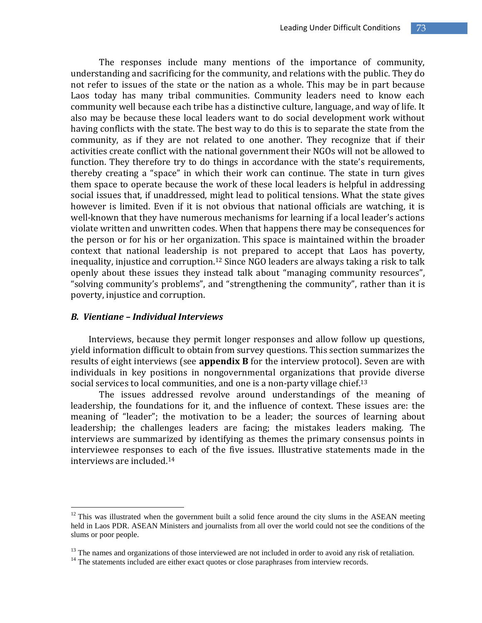The responses include many mentions of the importance of community, understanding and sacrificing for the community, and relations with the public. They do not refer to issues of the state or the nation as a whole. This may be in part because Laos today has many tribal communities. Community leaders need to know each community well because each tribe has a distinctive culture, language, and way of life. It also may be because these local leaders want to do social development work without having conflicts with the state. The best way to do this is to separate the state from the community, as if they are not related to one another. They recognize that if their activities create conflict with the national government their NGOs will not be allowed to function. They therefore try to do things in accordance with the state's requirements, thereby creating a "space" in which their work can continue. The state in turn gives them space to operate because the work of these local leaders is helpful in addressing social issues that, if unaddressed, might lead to political tensions. What the state gives however is limited. Even if it is not obvious that national officials are watching, it is well-known that they have numerous mechanisms for learning if a local leader's actions violate written and unwritten codes. When that happens there may be consequences for the person or for his or her organization. This space is maintained within the broader context that national leadership is not prepared to accept that Laos has poverty, inequality, injustice and corruption.<sup>12</sup> Since NGO leaders are always taking a risk to talk openly about these issues they instead talk about "managing community resources", "solving community's problems", and "strengthening the community", rather than it is poverty, injustice and corruption.

#### *B. Vientiane – Individual Interviews*

 $\overline{a}$ 

Interviews, because they permit longer responses and allow follow up questions, yield information difficult to obtain from survey questions. This section summarizes the results of eight interviews (see **appendix B** for the interview protocol). Seven are with individuals in key positions in nongovernmental organizations that provide diverse social services to local communities, and one is a non-party village chief.<sup>13</sup>

The issues addressed revolve around understandings of the meaning of leadership, the foundations for it, and the influence of context. These issues are: the meaning of "leader"; the motivation to be a leader; the sources of learning about leadership; the challenges leaders are facing; the mistakes leaders making. The interviews are summarized by identifying as themes the primary consensus points in interviewee responses to each of the five issues. Illustrative statements made in the interviews are included.<sup>14</sup>

 $12$  This was illustrated when the government built a solid fence around the city slums in the ASEAN meeting held in Laos PDR. ASEAN Ministers and journalists from all over the world could not see the conditions of the slums or poor people.

 $13$  The names and organizations of those interviewed are not included in order to avoid any risk of retaliation.

 $<sup>14</sup>$  The statements included are either exact quotes or close paraphrases from interview records.</sup>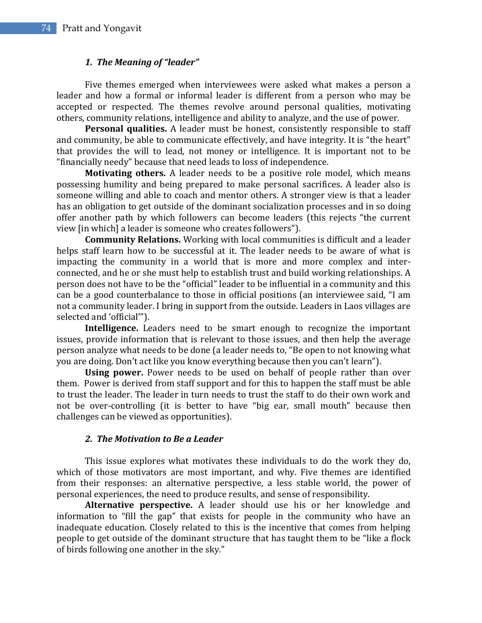## *1. The Meaning of "leader"*

Five themes emerged when interviewees were asked what makes a person a leader and how a formal or informal leader is different from a person who may be accepted or respected. The themes revolve around personal qualities, motivating others, community relations, intelligence and ability to analyze, and the use of power.

**Personal qualities.** A leader must be honest, consistently responsible to staff and community, be able to communicate effectively, and have integrity. It is "the heart" that provides the will to lead, not money or intelligence. It is important not to be "financially needy" because that need leads to loss of independence.

**Motivating others.** A leader needs to be a positive role model, which means possessing humility and being prepared to make personal sacrifices. A leader also is someone willing and able to coach and mentor others. A stronger view is that a leader has an obligation to get outside of the dominant socialization processes and in so doing offer another path by which followers can become leaders (this rejects "the current view [in which] a leader is someone who creates followers").

**Community Relations.** Working with local communities is difficult and a leader helps staff learn how to be successful at it. The leader needs to be aware of what is impacting the community in a world that is more and more complex and interconnected, and he or she must help to establish trust and build working relationships. A person does not have to be the "official" leader to be influential in a community and this can be a good counterbalance to those in official positions (an interviewee said, "I am not a community leader. I bring in support from the outside. Leaders in Laos villages are selected and 'official'").

**Intelligence.** Leaders need to be smart enough to recognize the important issues, provide information that is relevant to those issues, and then help the average person analyze what needs to be done (a leader needs to, "Be open to not knowing what you are doing. Don't act like you know everything because then you can't learn").

**Using power.** Power needs to be used on behalf of people rather than over them. Power is derived from staff support and for this to happen the staff must be able to trust the leader. The leader in turn needs to trust the staff to do their own work and not be over-controlling (it is better to have "big ear, small mouth" because then challenges can be viewed as opportunities).

### *2. The Motivation to Be a Leader*

This issue explores what motivates these individuals to do the work they do, which of those motivators are most important, and why. Five themes are identified from their responses: an alternative perspective, a less stable world, the power of personal experiences, the need to produce results, and sense of responsibility.

**Alternative perspective.** A leader should use his or her knowledge and information to "fill the gap" that exists for people in the community who have an inadequate education. Closely related to this is the incentive that comes from helping people to get outside of the dominant structure that has taught them to be "like a flock of birds following one another in the sky."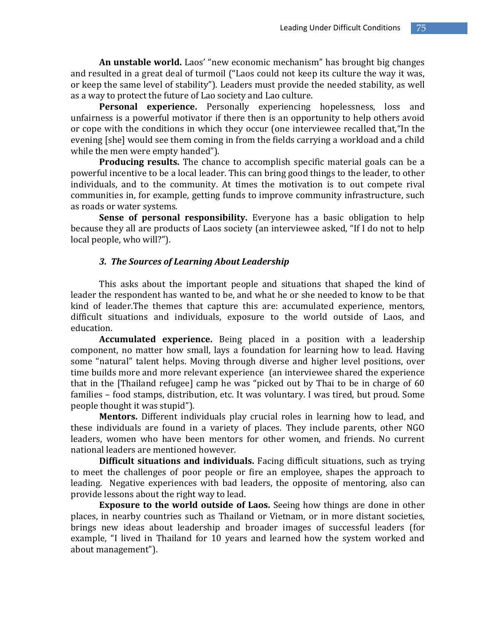**An unstable world.** Laos' "new economic mechanism" has brought big changes and resulted in a great deal of turmoil ("Laos could not keep its culture the way it was, or keep the same level of stability"). Leaders must provide the needed stability, as well as a way to protect the future of Lao society and Lao culture.

**Personal experience.** Personally experiencing hopelessness, loss and unfairness is a powerful motivator if there then is an opportunity to help others avoid or cope with the conditions in which they occur (one interviewee recalled that,"In the evening [she] would see them coming in from the fields carrying a workload and a child while the men were empty handed").

**Producing results.** The chance to accomplish specific material goals can be a powerful incentive to be a local leader. This can bring good things to the leader, to other individuals, and to the community. At times the motivation is to out compete rival communities in, for example, getting funds to improve community infrastructure, such as roads or water systems.

**Sense of personal responsibility.** Everyone has a basic obligation to help because they all are products of Laos society (an interviewee asked, "If I do not to help local people, who will?").

### *3. The Sources of Learning About Leadership*

This asks about the important people and situations that shaped the kind of leader the respondent has wanted to be, and what he or she needed to know to be that kind of leader.The themes that capture this are: accumulated experience, mentors, difficult situations and individuals, exposure to the world outside of Laos, and education.

**Accumulated experience.** Being placed in a position with a leadership component, no matter how small, lays a foundation for learning how to lead. Having some "natural" talent helps. Moving through diverse and higher level positions, over time builds more and more relevant experience (an interviewee shared the experience that in the [Thailand refugee] camp he was "picked out by Thai to be in charge of 60 families – food stamps, distribution, etc. It was voluntary. I was tired, but proud. Some people thought it was stupid").

**Mentors.** Different individuals play crucial roles in learning how to lead, and these individuals are found in a variety of places. They include parents, other NGO leaders, women who have been mentors for other women, and friends. No current national leaders are mentioned however.

**Difficult situations and individuals.** Facing difficult situations, such as trying to meet the challenges of poor people or fire an employee, shapes the approach to leading. Negative experiences with bad leaders, the opposite of mentoring, also can provide lessons about the right way to lead.

**Exposure to the world outside of Laos.** Seeing how things are done in other places, in nearby countries such as Thailand or Vietnam, or in more distant societies, brings new ideas about leadership and broader images of successful leaders (for example, "I lived in Thailand for 10 years and learned how the system worked and about management").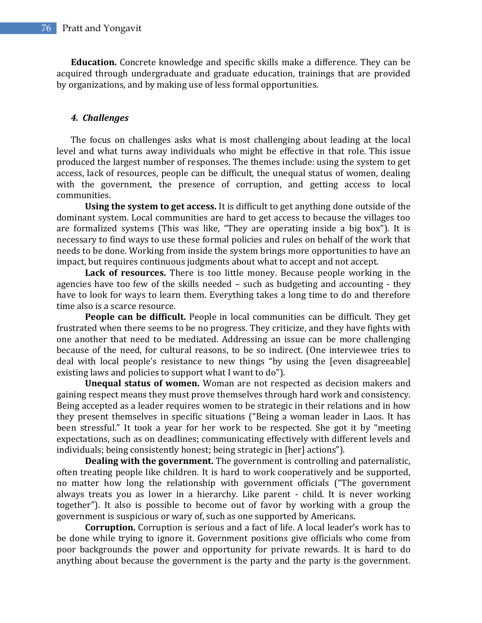**Education.** Concrete knowledge and specific skills make a difference. They can be acquired through undergraduate and graduate education, trainings that are provided by organizations, and by making use of less formal opportunities.

#### *4. Challenges*

The focus on challenges asks what is most challenging about leading at the local level and what turns away individuals who might be effective in that role. This issue produced the largest number of responses. The themes include: using the system to get access, lack of resources, people can be difficult, the unequal status of women, dealing with the government, the presence of corruption, and getting access to local communities.

**Using the system to get access.** It is difficult to get anything done outside of the dominant system. Local communities are hard to get access to because the villages too are formalized systems (This was like, "They are operating inside a big box"). It is necessary to find ways to use these formal policies and rules on behalf of the work that needs to be done. Working from inside the system brings more opportunities to have an impact, but requires continuous judgments about what to accept and not accept.

**Lack of resources.** There is too little money. Because people working in the agencies have too few of the skills needed – such as budgeting and accounting - they have to look for ways to learn them. Everything takes a long time to do and therefore time also is a scarce resource.

**People can be difficult.** People in local communities can be difficult. They get frustrated when there seems to be no progress. They criticize, and they have fights with one another that need to be mediated. Addressing an issue can be more challenging because of the need, for cultural reasons, to be so indirect. (One interviewee tries to deal with local people's resistance to new things "by using the [even disagreeable] existing laws and policies to support what I want to do").

**Unequal status of women.** Woman are not respected as decision makers and gaining respect means they must prove themselves through hard work and consistency. Being accepted as a leader requires women to be strategic in their relations and in how they present themselves in specific situations ("Being a woman leader in Laos. It has been stressful." It took a year for her work to be respected. She got it by "meeting expectations, such as on deadlines; communicating effectively with different levels and individuals; being consistently honest; being strategic in [her] actions").

**Dealing with the government.** The government is controlling and paternalistic, often treating people like children. It is hard to work cooperatively and be supported, no matter how long the relationship with government officials ("The government always treats you as lower in a hierarchy. Like parent - child. It is never working together"). It also is possible to become out of favor by working with a group the government is suspicious or wary of, such as one supported by Americans.

**Corruption.** Corruption is serious and a fact of life. A local leader's work has to be done while trying to ignore it. Government positions give officials who come from poor backgrounds the power and opportunity for private rewards. It is hard to do anything about because the government is the party and the party is the government.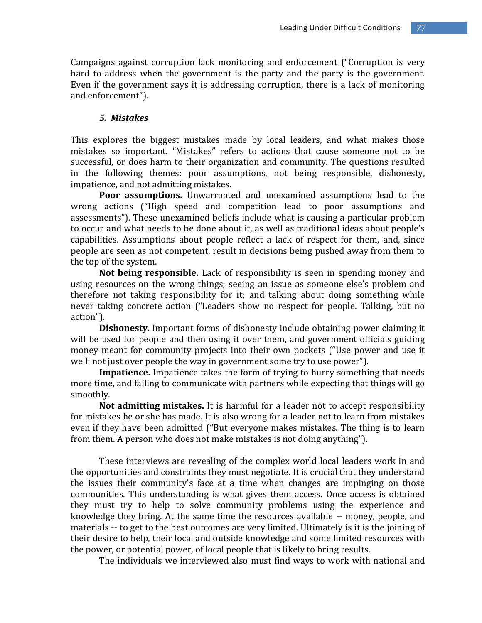Campaigns against corruption lack monitoring and enforcement ("Corruption is very hard to address when the government is the party and the party is the government. Even if the government says it is addressing corruption, there is a lack of monitoring and enforcement").

#### *5. Mistakes*

This explores the biggest mistakes made by local leaders, and what makes those mistakes so important. "Mistakes" refers to actions that cause someone not to be successful, or does harm to their organization and community. The questions resulted in the following themes: poor assumptions, not being responsible, dishonesty, impatience, and not admitting mistakes.

**Poor assumptions.** Unwarranted and unexamined assumptions lead to the wrong actions ("High speed and competition lead to poor assumptions and assessments"). These unexamined beliefs include what is causing a particular problem to occur and what needs to be done about it, as well as traditional ideas about people's capabilities. Assumptions about people reflect a lack of respect for them, and, since people are seen as not competent, result in decisions being pushed away from them to the top of the system.

**Not being responsible.** Lack of responsibility is seen in spending money and using resources on the wrong things; seeing an issue as someone else's problem and therefore not taking responsibility for it; and talking about doing something while never taking concrete action ("Leaders show no respect for people. Talking, but no action").

**Dishonesty.** Important forms of dishonesty include obtaining power claiming it will be used for people and then using it over them, and government officials guiding money meant for community projects into their own pockets ("Use power and use it well; not just over people the way in government some try to use power").

**Impatience.** Impatience takes the form of trying to hurry something that needs more time, and failing to communicate with partners while expecting that things will go smoothly.

**Not admitting mistakes.** It is harmful for a leader not to accept responsibility for mistakes he or she has made. It is also wrong for a leader not to learn from mistakes even if they have been admitted ("But everyone makes mistakes. The thing is to learn from them. A person who does not make mistakes is not doing anything").

These interviews are revealing of the complex world local leaders work in and the opportunities and constraints they must negotiate. It is crucial that they understand the issues their community's face at a time when changes are impinging on those communities. This understanding is what gives them access. Once access is obtained they must try to help to solve community problems using the experience and knowledge they bring. At the same time the resources available -- money, people, and materials -- to get to the best outcomes are very limited. Ultimately is it is the joining of their desire to help, their local and outside knowledge and some limited resources with the power, or potential power, of local people that is likely to bring results.

The individuals we interviewed also must find ways to work with national and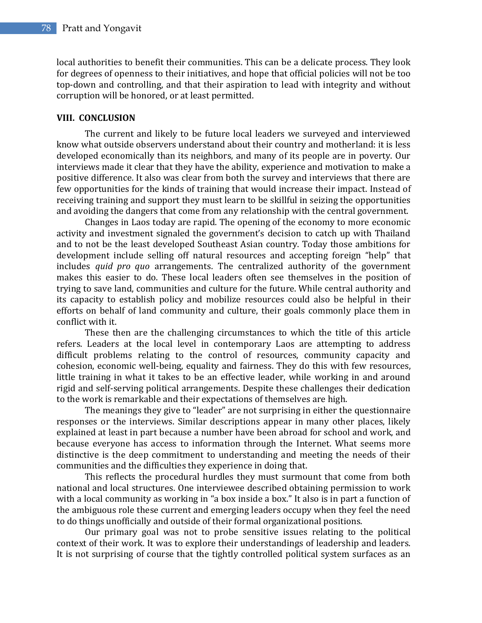local authorities to benefit their communities. This can be a delicate process. They look for degrees of openness to their initiatives, and hope that official policies will not be too top-down and controlling, and that their aspiration to lead with integrity and without corruption will be honored, or at least permitted.

## **VIII. CONCLUSION**

The current and likely to be future local leaders we surveyed and interviewed know what outside observers understand about their country and motherland: it is less developed economically than its neighbors, and many of its people are in poverty. Our interviews made it clear that they have the ability, experience and motivation to make a positive difference. It also was clear from both the survey and interviews that there are few opportunities for the kinds of training that would increase their impact. Instead of receiving training and support they must learn to be skillful in seizing the opportunities and avoiding the dangers that come from any relationship with the central government.

Changes in Laos today are rapid. The opening of the economy to more economic activity and investment signaled the government's decision to catch up with Thailand and to not be the least developed Southeast Asian country. Today those ambitions for development include selling off natural resources and accepting foreign "help" that includes *quid pro quo* arrangements. The centralized authority of the government makes this easier to do. These local leaders often see themselves in the position of trying to save land, communities and culture for the future. While central authority and its capacity to establish policy and mobilize resources could also be helpful in their efforts on behalf of land community and culture, their goals commonly place them in conflict with it.

These then are the challenging circumstances to which the title of this article refers. Leaders at the local level in contemporary Laos are attempting to address difficult problems relating to the control of resources, community capacity and cohesion, economic well-being, equality and fairness. They do this with few resources, little training in what it takes to be an effective leader, while working in and around rigid and self-serving political arrangements. Despite these challenges their dedication to the work is remarkable and their expectations of themselves are high.

The meanings they give to "leader" are not surprising in either the questionnaire responses or the interviews. Similar descriptions appear in many other places, likely explained at least in part because a number have been abroad for school and work, and because everyone has access to information through the Internet. What seems more distinctive is the deep commitment to understanding and meeting the needs of their communities and the difficulties they experience in doing that.

This reflects the procedural hurdles they must surmount that come from both national and local structures. One interviewee described obtaining permission to work with a local community as working in "a box inside a box." It also is in part a function of the ambiguous role these current and emerging leaders occupy when they feel the need to do things unofficially and outside of their formal organizational positions.

Our primary goal was not to probe sensitive issues relating to the political context of their work. It was to explore their understandings of leadership and leaders. It is not surprising of course that the tightly controlled political system surfaces as an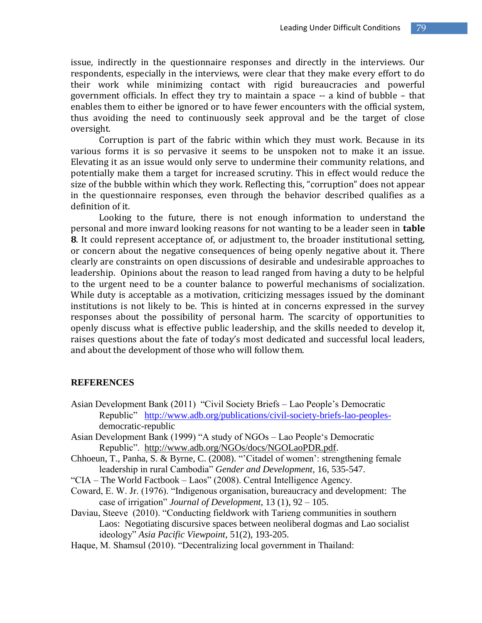issue, indirectly in the questionnaire responses and directly in the interviews. Our respondents, especially in the interviews, were clear that they make every effort to do their work while minimizing contact with rigid bureaucracies and powerful government officials. In effect they try to maintain a space -- a kind of bubble – that enables them to either be ignored or to have fewer encounters with the official system, thus avoiding the need to continuously seek approval and be the target of close oversight.

Corruption is part of the fabric within which they must work. Because in its various forms it is so pervasive it seems to be unspoken not to make it an issue. Elevating it as an issue would only serve to undermine their community relations, and potentially make them a target for increased scrutiny. This in effect would reduce the size of the bubble within which they work. Reflecting this, "corruption" does not appear in the questionnaire responses, even through the behavior described qualifies as a definition of it.

Looking to the future, there is not enough information to understand the personal and more inward looking reasons for not wanting to be a leader seen in **table 8**. It could represent acceptance of, or adjustment to, the broader institutional setting, or concern about the negative consequences of being openly negative about it. There clearly are constraints on open discussions of desirable and undesirable approaches to leadership. Opinions about the reason to lead ranged from having a duty to be helpful to the urgent need to be a counter balance to powerful mechanisms of socialization. While duty is acceptable as a motivation, criticizing messages issued by the dominant institutions is not likely to be. This is hinted at in concerns expressed in the survey responses about the possibility of personal harm. The scarcity of opportunities to openly discuss what is effective public leadership, and the skills needed to develop it, raises questions about the fate of today's most dedicated and successful local leaders, and about the development of those who will follow them.

#### **REFERENCES**

- Asian Development Bank (2011) "Civil Society Briefs Lao People's Democratic Republic" [http://www.adb.org/publications/civil-society-briefs-lao-peoples](http://www.adb.org/publications/civil-society-briefs-lao-peoples-)democratic-republic
- Asian Development Bank (1999) "A study of NGOs Lao People's Democratic Republic". [http://www.adb.org/NGOs/docs/NGOLaoPDR.pdf.](http://www.adb.org/NGOs/docs/NGOLaoPDR.pdf)
- Chhoeun, T., Panha, S. & Byrne, C. (2008). "'Citadel of women': strengthening female leadership in rural Cambodia" *Gender and Development,* 16, 535-547.
- "CIA The World Factbook Laos" (2008). Central Intelligence Agency.
- Coward, E. W. Jr. (1976). "Indigenous organisation, bureaucracy and development: The case of irrigation" *Journal of Development,* 13 (1), 92 – 105.
- Daviau, Steeve (2010). "Conducting fieldwork with Tarieng communities in southern Laos: Negotiating discursive spaces between neoliberal dogmas and Lao socialist ideology" *Asia Pacific Viewpoint*, 51(2), 193-205.
- Haque, M. Shamsul (2010). "Decentralizing local government in Thailand: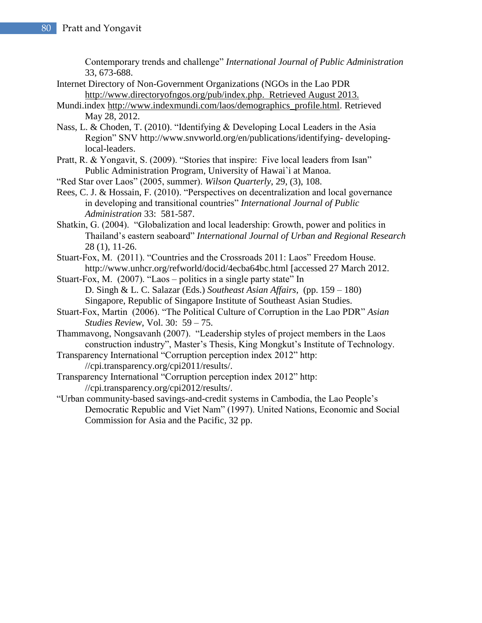Contemporary trends and challenge" *International Journal of Public Administration*  33, 673-688.

- Internet Directory of Non-Government Organizations (NGOs in the Lao PDR [http://www.directoryofngos.org/pub/index.php.](http://www.directoryofngos.org/pub/index.php) Retrieved August 2013.
- Mundi.index [http://www.indexmundi.com/laos/demographics\\_profile.html.](http://www.indexmundi.com/laos/demographics_profile.html) Retrieved May 28, 2012.
- Nass, L. & Choden, T. (2010). "Identifying & Developing Local Leaders in the Asia Region" SNV http://www.snvworld.org/en/publications/identifying- developinglocal-leaders.
- Pratt, R. & Yongavit, S. (2009). "Stories that inspire: Five local leaders from Isan" Public Administration Program, University of Hawai`i at Manoa.
- "Red Star over Laos" (2005, summer). *Wilson Quarterly*, 29, (3), 108.
- Rees, C. J. & Hossain, F. (2010). "Perspectives on decentralization and local governance in developing and transitional countries" *International Journal of Public Administration* 33: 581-587.
- Shatkin, G. (2004). "Globalization and local leadership: Growth, power and politics in Thailand's eastern seaboard" *International Journal of Urban and Regional Research* 28 (1), 11-26.
- Stuart-Fox, M. (2011). "Countries and the Crossroads 2011: Laos" Freedom House. http://www.unhcr.org/refworld/docid/4ecba64bc.html [accessed 27 March 2012.
- Stuart-Fox, M. (2007). "Laos politics in a single party state" In D. Singh & L. C. Salazar (Eds.) *Southeast Asian Affairs,* (pp. 159 – 180) Singapore, Republic of Singapore Institute of Southeast Asian Studies.
- Stuart-Fox, Martin (2006). "The Political Culture of Corruption in the Lao PDR" *Asian Studies Review*, Vol. 30: 59 – 75.
- Thammavong, Nongsavanh (2007). "Leadership styles of project members in the Laos construction industry", Master's Thesis, King Mongkut's Institute of Technology.
- Transparency International "Corruption perception index 2012" http: //cpi.transparency.org/cpi2011/results/.
- Transparency International "Corruption perception index 2012" http: //cpi.transparency.org/cpi2012/results/.
- "Urban community-based savings-and-credit systems in Cambodia, the Lao People's Democratic Republic and Viet Nam" (1997). United Nations, Economic and Social Commission for Asia and the Pacific, 32 pp.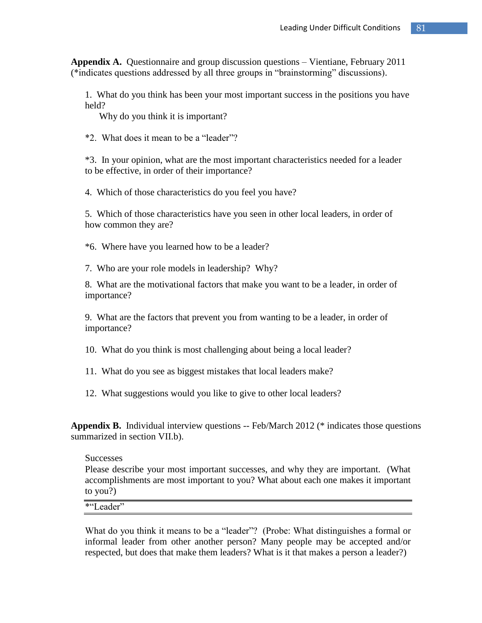**Appendix A.** Questionnaire and group discussion questions – Vientiane, February 2011 (\*indicates questions addressed by all three groups in "brainstorming" discussions).

1. What do you think has been your most important success in the positions you have held?

Why do you think it is important?

\*2. What does it mean to be a "leader"?

\*3. In your opinion, what are the most important characteristics needed for a leader to be effective, in order of their importance?

4. Which of those characteristics do you feel you have?

5. Which of those characteristics have you seen in other local leaders, in order of how common they are?

\*6. Where have you learned how to be a leader?

7. Who are your role models in leadership? Why?

8. What are the motivational factors that make you want to be a leader, in order of importance?

9. What are the factors that prevent you from wanting to be a leader, in order of importance?

10. What do you think is most challenging about being a local leader?

11. What do you see as biggest mistakes that local leaders make?

12. What suggestions would you like to give to other local leaders?

**Appendix B.** Individual interview questions -- Feb/March 2012 (\* indicates those questions summarized in section VII.b).

#### **Successes**

Please describe your most important successes, and why they are important. (What accomplishments are most important to you? What about each one makes it important to you?)

\*"Leader"

What do you think it means to be a "leader"? (Probe: What distinguishes a formal or informal leader from other another person? Many people may be accepted and/or respected, but does that make them leaders? What is it that makes a person a leader?)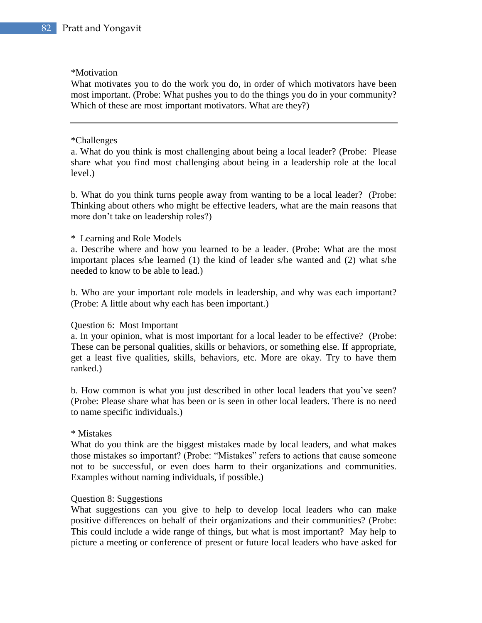#### \*Motivation

What motivates you to do the work you do, in order of which motivators have been most important. (Probe: What pushes you to do the things you do in your community? Which of these are most important motivators. What are they?)

#### \*Challenges

a. What do you think is most challenging about being a local leader? (Probe: Please share what you find most challenging about being in a leadership role at the local level.)

b. What do you think turns people away from wanting to be a local leader? (Probe: Thinking about others who might be effective leaders, what are the main reasons that more don't take on leadership roles?)

### \* Learning and Role Models

a. Describe where and how you learned to be a leader. (Probe: What are the most important places s/he learned (1) the kind of leader s/he wanted and (2) what s/he needed to know to be able to lead.)

b. Who are your important role models in leadership, and why was each important? (Probe: A little about why each has been important.)

### Question 6: Most Important

a. In your opinion, what is most important for a local leader to be effective? (Probe: These can be personal qualities, skills or behaviors, or something else. If appropriate, get a least five qualities, skills, behaviors, etc. More are okay. Try to have them ranked.)

b. How common is what you just described in other local leaders that you've seen? (Probe: Please share what has been or is seen in other local leaders. There is no need to name specific individuals.)

### \* Mistakes

What do you think are the biggest mistakes made by local leaders, and what makes those mistakes so important? (Probe: "Mistakes" refers to actions that cause someone not to be successful, or even does harm to their organizations and communities. Examples without naming individuals, if possible.)

### Question 8: Suggestions

What suggestions can you give to help to develop local leaders who can make positive differences on behalf of their organizations and their communities? (Probe: This could include a wide range of things, but what is most important? May help to picture a meeting or conference of present or future local leaders who have asked for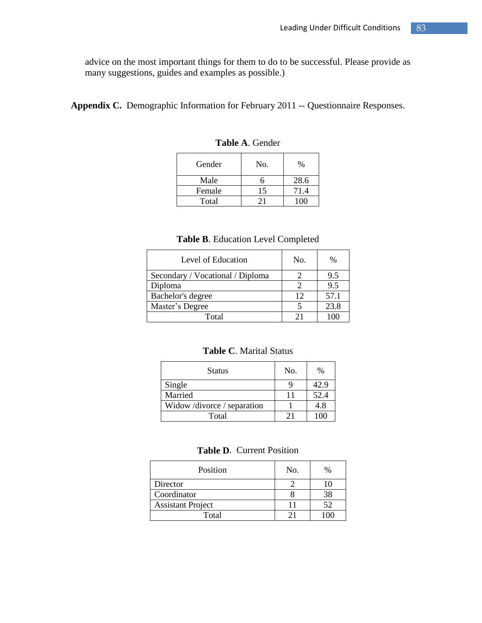advice on the most important things for them to do to be successful. Please provide as many suggestions, guides and examples as possible.)

**Appendix C.** Demographic Information for February 2011 -- Questionnaire Responses.

| Gender | No. | %    |
|--------|-----|------|
| Male   |     | 28.6 |
| Female | 15  | 71.4 |
| Total  |     |      |

**Table A**. Gender

## **Table B**. Education Level Completed

| Level of Education               | No. | $\frac{0}{0}$ |
|----------------------------------|-----|---------------|
| Secondary / Vocational / Diploma |     | 9.5           |
| Diploma                          |     | 9.5           |
| Bachelor's degree                | 12  | 57.1          |
| Master's Degree                  |     | 23.8          |
| Total                            | 21  |               |

## **Table C**. Marital Status

| Status                   | No. | %    |
|--------------------------|-----|------|
| Single                   |     | 42.9 |
| Married                  |     | 52.4 |
| Widow/divorce/separation |     | 4.8  |
| Total                    | 21  | 100  |

#### **Table D**. Current Position

| Position                 | No. | %  |
|--------------------------|-----|----|
| Director                 |     |    |
| Coordinator              |     |    |
| <b>Assistant Project</b> |     | 52 |
| Total                    |     |    |